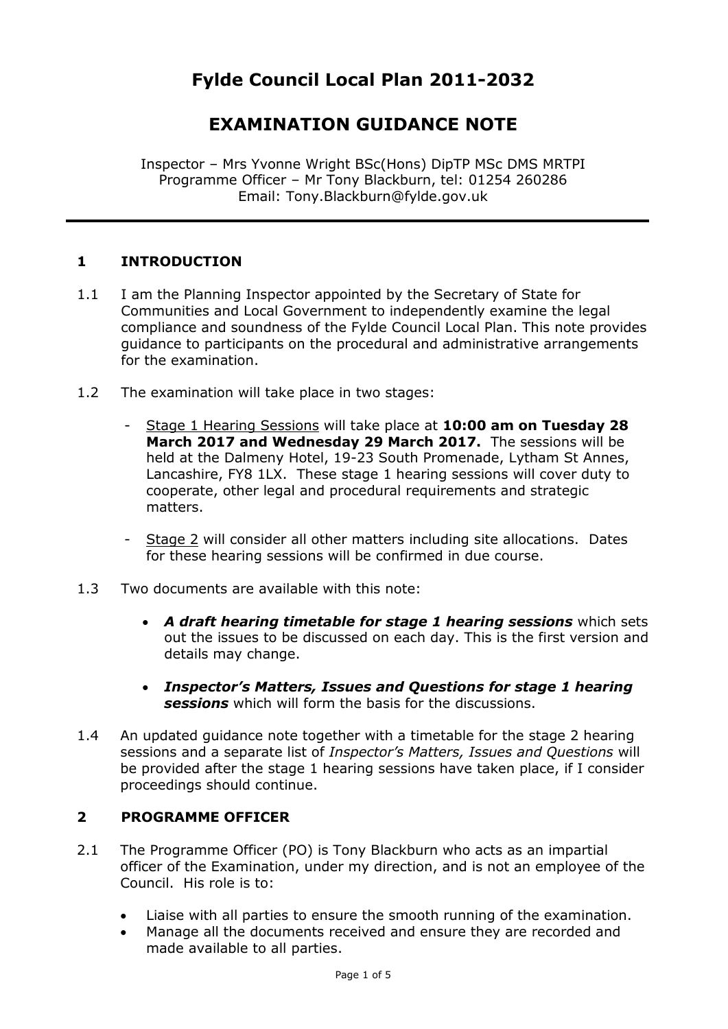# **EXAMINATION GUIDANCE NOTE**

Inspector – Mrs Yvonne Wright BSc(Hons) DipTP MSc DMS MRTPI Programme Officer – Mr Tony Blackburn, tel: 01254 260286 Email: Tony.Blackburn@fylde.gov.uk

## **1 INTRODUCTION**

- 1.1 I am the Planning Inspector appointed by the Secretary of State for Communities and Local Government to independently examine the legal compliance and soundness of the Fylde Council Local Plan. This note provides guidance to participants on the procedural and administrative arrangements for the examination.
- 1.2 The examination will take place in two stages:
	- Stage 1 Hearing Sessions will take place at **10:00 am on Tuesday 28 March 2017 and Wednesday 29 March 2017.** The sessions will be held at the Dalmeny Hotel, 19-23 South Promenade, Lytham St Annes, Lancashire, FY8 1LX. These stage 1 hearing sessions will cover duty to cooperate, other legal and procedural requirements and strategic matters.
	- Stage 2 will consider all other matters including site allocations. Dates for these hearing sessions will be confirmed in due course.
- 1.3 Two documents are available with this note:
	- *A draft hearing timetable for stage 1 hearing sessions* which sets out the issues to be discussed on each day. This is the first version and details may change.
	- *Inspector's Matters, Issues and Questions for stage 1 hearing sessions* which will form the basis for the discussions.
- 1.4 An updated guidance note together with a timetable for the stage 2 hearing sessions and a separate list of *Inspector's Matters, Issues and Questions* will be provided after the stage 1 hearing sessions have taken place, if I consider proceedings should continue.

#### **2 PROGRAMME OFFICER**

- 2.1 The Programme Officer (PO) is Tony Blackburn who acts as an impartial officer of the Examination, under my direction, and is not an employee of the Council. His role is to:
	- Liaise with all parties to ensure the smooth running of the examination.
	- Manage all the documents received and ensure they are recorded and made available to all parties.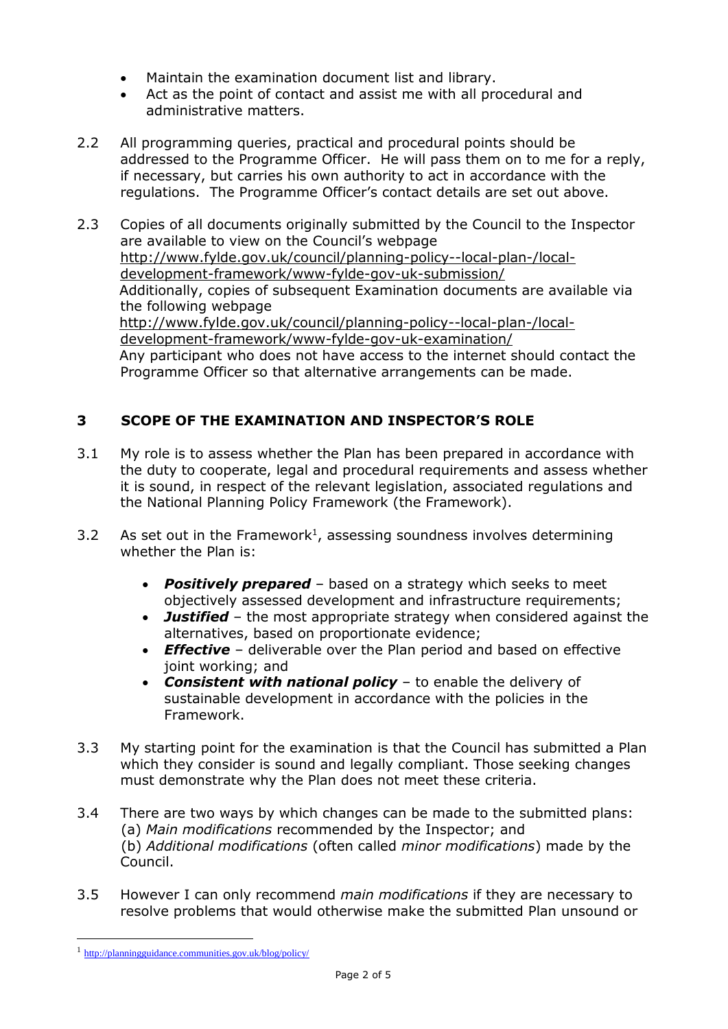- Maintain the examination document list and library.
- Act as the point of contact and assist me with all procedural and administrative matters.
- 2.2 All programming queries, practical and procedural points should be addressed to the Programme Officer. He will pass them on to me for a reply, if necessary, but carries his own authority to act in accordance with the regulations. The Programme Officer's contact details are set out above.
- 2.3 Copies of all documents originally submitted by the Council to the Inspector are available to view on the Council's webpage [http://www.fylde.gov.uk/council/planning-policy--local-plan-/local](http://www.fylde.gov.uk/council/planning-policy--local-plan-/local-development-framework/www-fylde-gov-uk-submission/)[development-framework/www-fylde-gov-uk-submission/](http://www.fylde.gov.uk/council/planning-policy--local-plan-/local-development-framework/www-fylde-gov-uk-submission/) Additionally, copies of subsequent Examination documents are available via the following webpage [http://www.fylde.gov.uk/council/planning-policy--local-plan-/local](http://www.fylde.gov.uk/council/planning-policy--local-plan-/local-development-framework/www-fylde-gov-uk-examination/)[development-framework/www-fylde-gov-uk-examination/](http://www.fylde.gov.uk/council/planning-policy--local-plan-/local-development-framework/www-fylde-gov-uk-examination/) Any participant who does not have access to the internet should contact the Programme Officer so that alternative arrangements can be made.

# **3 SCOPE OF THE EXAMINATION AND INSPECTOR'S ROLE**

- 3.1 My role is to assess whether the Plan has been prepared in accordance with the duty to cooperate, legal and procedural requirements and assess whether it is sound, in respect of the relevant legislation, associated regulations and the National Planning Policy Framework (the Framework).
- 3.2 As set out in the Framework<sup>1</sup>, assessing soundness involves determining whether the Plan is:
	- *Positively prepared* based on a strategy which seeks to meet objectively assessed development and infrastructure requirements;
	- *Justified* the most appropriate strategy when considered against the alternatives, based on proportionate evidence;
	- *Effective* deliverable over the Plan period and based on effective joint working; and
	- *Consistent with national policy* to enable the delivery of sustainable development in accordance with the policies in the Framework.
- 3.3 My starting point for the examination is that the Council has submitted a Plan which they consider is sound and legally compliant. Those seeking changes must demonstrate why the Plan does not meet these criteria.
- 3.4 There are two ways by which changes can be made to the submitted plans: (a) *Main modifications* recommended by the Inspector; and (b) *Additional modifications* (often called *minor modifications*) made by the Council.
- 3.5 However I can only recommend *main modifications* if they are necessary to resolve problems that would otherwise make the submitted Plan unsound or

1

<sup>1</sup> <http://planningguidance.communities.gov.uk/blog/policy/>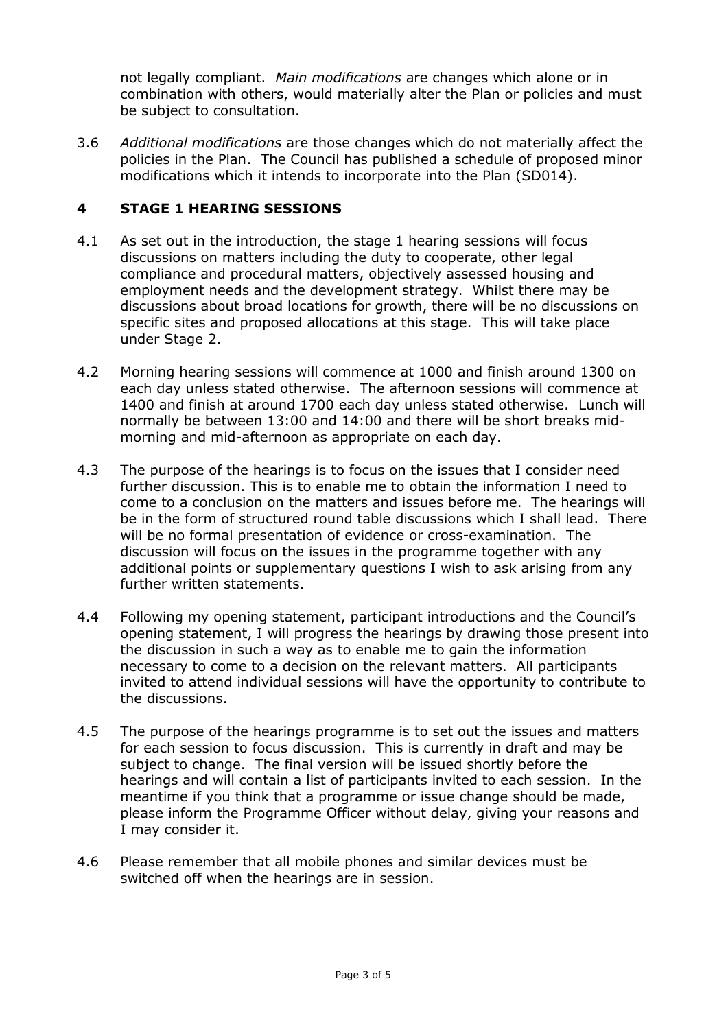not legally compliant. *Main modifications* are changes which alone or in combination with others, would materially alter the Plan or policies and must be subject to consultation.

3.6 *Additional modifications* are those changes which do not materially affect the policies in the Plan. The Council has published a schedule of proposed minor modifications which it intends to incorporate into the Plan (SD014).

#### **4 STAGE 1 HEARING SESSIONS**

- 4.1 As set out in the introduction, the stage 1 hearing sessions will focus discussions on matters including the duty to cooperate, other legal compliance and procedural matters, objectively assessed housing and employment needs and the development strategy. Whilst there may be discussions about broad locations for growth, there will be no discussions on specific sites and proposed allocations at this stage. This will take place under Stage 2.
- 4.2 Morning hearing sessions will commence at 1000 and finish around 1300 on each day unless stated otherwise. The afternoon sessions will commence at 1400 and finish at around 1700 each day unless stated otherwise. Lunch will normally be between 13:00 and 14:00 and there will be short breaks midmorning and mid-afternoon as appropriate on each day.
- 4.3 The purpose of the hearings is to focus on the issues that I consider need further discussion. This is to enable me to obtain the information I need to come to a conclusion on the matters and issues before me. The hearings will be in the form of structured round table discussions which I shall lead. There will be no formal presentation of evidence or cross-examination. The discussion will focus on the issues in the programme together with any additional points or supplementary questions I wish to ask arising from any further written statements.
- 4.4 Following my opening statement, participant introductions and the Council's opening statement, I will progress the hearings by drawing those present into the discussion in such a way as to enable me to gain the information necessary to come to a decision on the relevant matters. All participants invited to attend individual sessions will have the opportunity to contribute to the discussions.
- 4.5 The purpose of the hearings programme is to set out the issues and matters for each session to focus discussion. This is currently in draft and may be subject to change. The final version will be issued shortly before the hearings and will contain a list of participants invited to each session. In the meantime if you think that a programme or issue change should be made, please inform the Programme Officer without delay, giving your reasons and I may consider it.
- 4.6 Please remember that all mobile phones and similar devices must be switched off when the hearings are in session.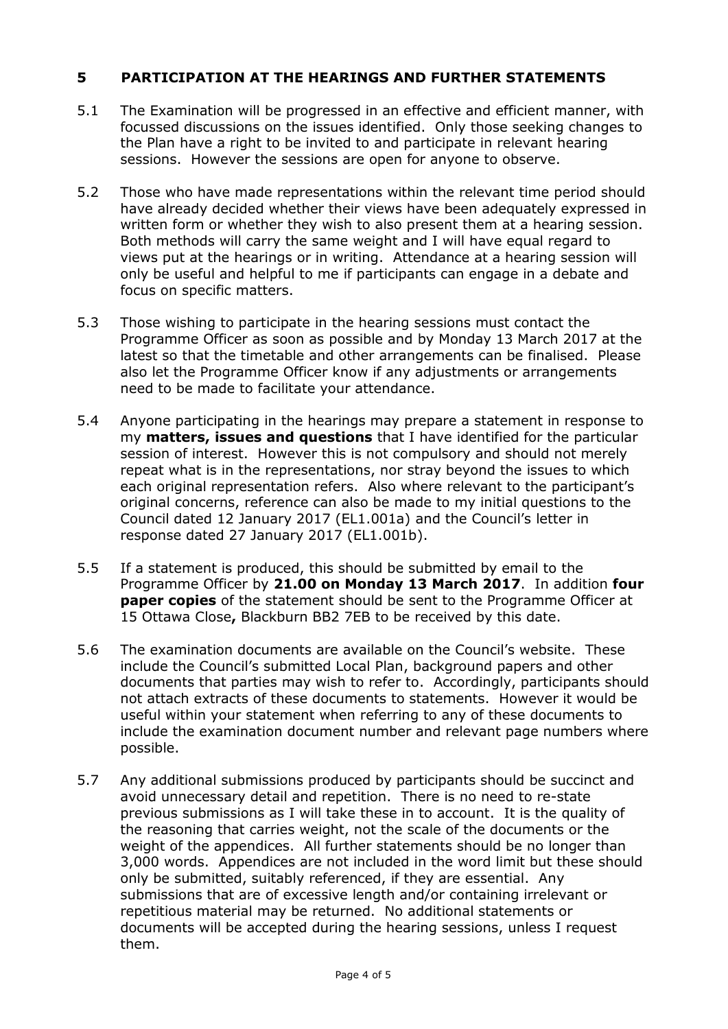### **5 PARTICIPATION AT THE HEARINGS AND FURTHER STATEMENTS**

- 5.1 The Examination will be progressed in an effective and efficient manner, with focussed discussions on the issues identified. Only those seeking changes to the Plan have a right to be invited to and participate in relevant hearing sessions. However the sessions are open for anyone to observe.
- 5.2 Those who have made representations within the relevant time period should have already decided whether their views have been adequately expressed in written form or whether they wish to also present them at a hearing session. Both methods will carry the same weight and I will have equal regard to views put at the hearings or in writing. Attendance at a hearing session will only be useful and helpful to me if participants can engage in a debate and focus on specific matters.
- 5.3 Those wishing to participate in the hearing sessions must contact the Programme Officer as soon as possible and by Monday 13 March 2017 at the latest so that the timetable and other arrangements can be finalised. Please also let the Programme Officer know if any adjustments or arrangements need to be made to facilitate your attendance.
- 5.4 Anyone participating in the hearings may prepare a statement in response to my **matters, issues and questions** that I have identified for the particular session of interest. However this is not compulsory and should not merely repeat what is in the representations, nor stray beyond the issues to which each original representation refers. Also where relevant to the participant's original concerns, reference can also be made to my initial questions to the Council dated 12 January 2017 (EL1.001a) and the Council's letter in response dated 27 January 2017 (EL1.001b).
- 5.5 If a statement is produced, this should be submitted by email to the Programme Officer by **21.00 on Monday 13 March 2017**. In addition **four paper copies** of the statement should be sent to the Programme Officer at 15 Ottawa Close**,** Blackburn BB2 7EB to be received by this date.
- 5.6 The examination documents are available on the Council's website. These include the Council's submitted Local Plan, background papers and other documents that parties may wish to refer to. Accordingly, participants should not attach extracts of these documents to statements. However it would be useful within your statement when referring to any of these documents to include the examination document number and relevant page numbers where possible.
- 5.7 Any additional submissions produced by participants should be succinct and avoid unnecessary detail and repetition. There is no need to re-state previous submissions as I will take these in to account. It is the quality of the reasoning that carries weight, not the scale of the documents or the weight of the appendices. All further statements should be no longer than 3,000 words. Appendices are not included in the word limit but these should only be submitted, suitably referenced, if they are essential. Any submissions that are of excessive length and/or containing irrelevant or repetitious material may be returned. No additional statements or documents will be accepted during the hearing sessions, unless I request them.